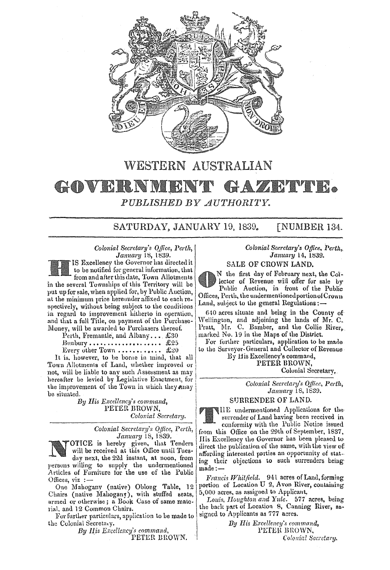

# WESTERN AUSTRALIAN

### GOVERNMENT GAZETYER. *PUBLISHED BY AUTHORI'l'Y.*

SATURDAY, JANUARY 19, 1839. [NUMBER 134.

*Colonial Secretary's Qffice, Perth,*  January 18, 1839.

Excellencv the Governor has directed it to be notified for general information, that from and after this date, Town-Allotments in the several Townships of this Territory will be put up for sale, when applied for, by Public Auction, at the minimum price hereunder affixed to each re. spectively, without being subject to the conditions in regard to improvement hitherto in operation, and that a fuH Title, on payment of the Purchase-Money, will be awarded to Purchasers thereof.

l'erlh, Fremantle, and Albany .••. £30  $Bumbury \ldots \ldots \ldots \ldots \ldots \ldots \quad \text{\pounds}25$ 

**Every other Town • •••••••••••••••• £20** 

It is. however, to be borne in mind, that all Town Allotments of Land, whether improved or not, will be liable to any such Assessment as may hereafter be levied by Legislative Enactment, for the improvement of the Town in which they away be situated.

*By His Excellency's command,*  PETER BROWN, *Colonial Secretary.* 

> *Colonial Secretary's Office, Perth, January* 18, 1839.

OTTCE is hereby given. that Tenders will be received at this Office until Tues· day next, the 22d instant, at noon, from persons willing to supply the undermentioned Articles of Furniture for the use of the Public Offices,  $viz :=$ 

One Mahogany (native) Oblong Table, 12 portion of Location U 2, Avon River<br>pairs (native Mahogang), with stuffed seats, 5,000 acres, as assigned to Applicant, Chairs (native Mahogany), with stuffed seats,  $5,000$  acres, as assigned to Applicant.<br>armed or otherwise: a Book Case of same mate. Louis, Houghton and Yule. 577 acres, being armed or otherwise; a Book Case of same mate-

For further particulars, application to be made to the Colonial Secretary.<br> **By His Excellency's command,** By His Excellency's command, **INTER BROWN**,

*By His Excellency's command,* **INTER BROWN, PETER BROWN, PETER BROWN**, **PETER BROWN**, *Colonial Secretary.* PETER BROWN.

#### *Colonial Secretary's Office, Perth,. January* 14, 1839.

SALE OF CROWN LAND.

N the first day of February next, the Collector of Revenue will offer for sale by Public Auction, in front of the Public Offices, Perth, the undermentioned portion of Crown Land, subject to the general Regulations:-

 $640$  acres situate and being in the County of Wellington, and adjoining the lands of Mr. C. Pratt, Mr. C. Bamber, and the Collie Riverp. marked No. 19 in the Maps of the District.

For further particulars, application to be made to the Surveyor-General and Collector of Revenue

By His Excellency's command, PETER BROWN.

Colonial Secretary.

*Colonial Secretary's OjJice, Perth, January* 18,1839.

#### STJRRENDER OF LAND.

nE undermentioned Applications for the surrender of Land having been received in conformity with the Public Notice issued from this Office on the 29th of September, 1837, Ilis Excellency lhe Governor has been pleased to direct the publication of the same, with the view of affording interested parties an opportunity of stating their objections to such surrenders being made:-

Francis Whitfield. 941 acres of Land, forming<br>portion of Location U 2, Avon River, containing

rial. and 12 Common Chairs.<br>
The back part of Location 8, Canning River, as-<br>
The further narticulars annitonion to be made to signed to Applicants as 777 acres.